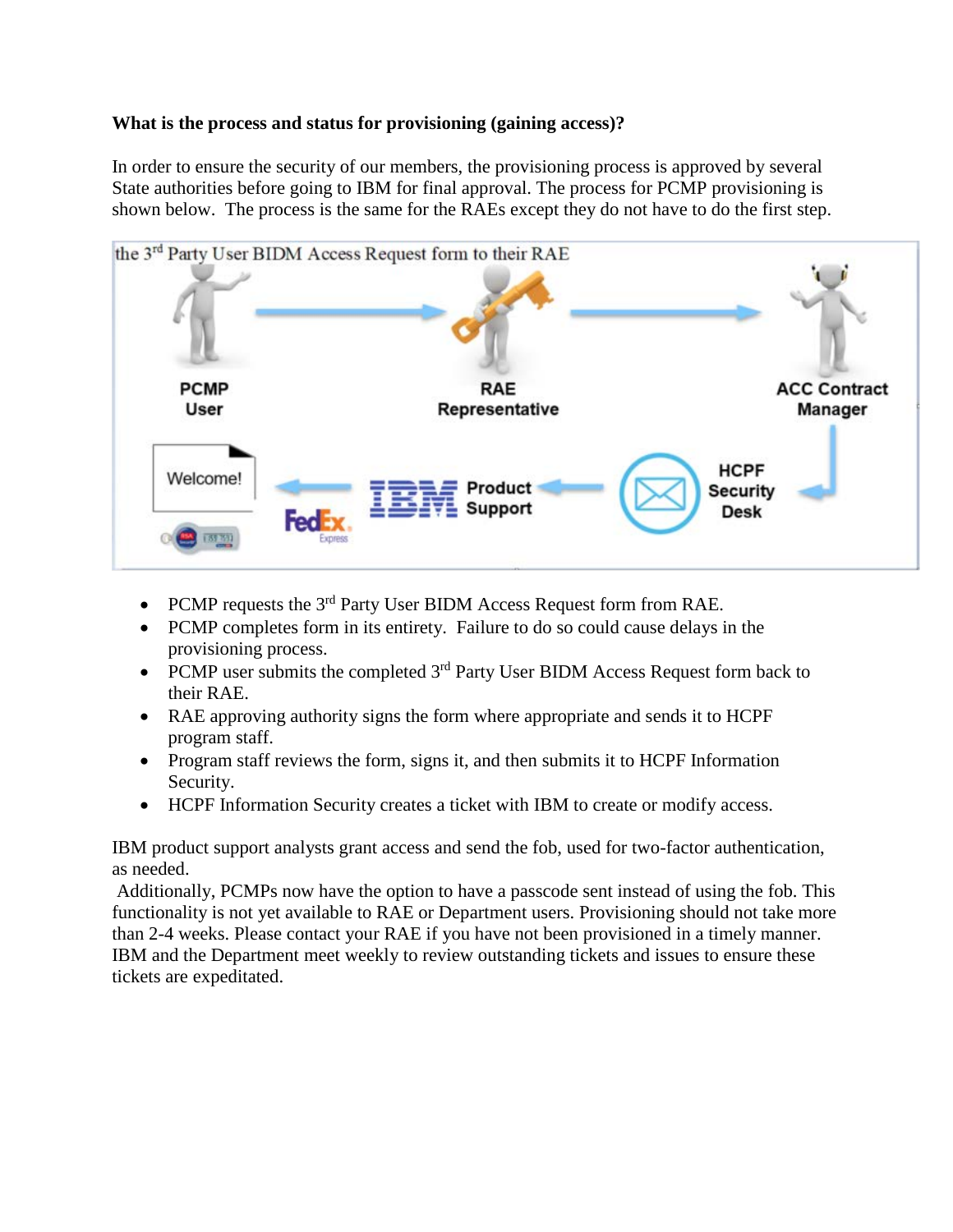## **What is the process and status for provisioning (gaining access)?**

In order to ensure the security of our members, the provisioning process is approved by several State authorities before going to IBM for final approval. The process for PCMP provisioning is shown below. The process is the same for the RAEs except they do not have to do the first step.



- PCMP requests the  $3<sup>rd</sup>$  Party User BIDM Access Request form from RAE.
- PCMP completes form in its entirety. Failure to do so could cause delays in the provisioning process.
- PCMP user submits the completed  $3<sup>rd</sup>$  Party User BIDM Access Request form back to their RAE.
- RAE approving authority signs the form where appropriate and sends it to HCPF program staff.
- Program staff reviews the form, signs it, and then submits it to HCPF Information Security.
- HCPF Information Security creates a ticket with IBM to create or modify access.

IBM product support analysts grant access and send the fob, used for two-factor authentication, as needed.

Additionally, PCMPs now have the option to have a passcode sent instead of using the fob. This functionality is not yet available to RAE or Department users. Provisioning should not take more than 2-4 weeks. Please contact your RAE if you have not been provisioned in a timely manner. IBM and the Department meet weekly to review outstanding tickets and issues to ensure these tickets are expeditated.